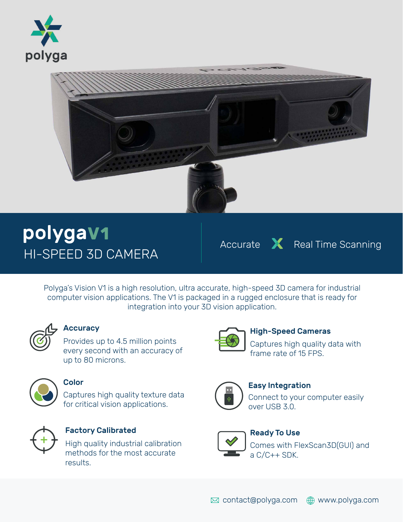



# HI-SPEED 3D CAMERA polygaV1

Accurate X Real Time Scanning

Polyga's Vision V1 is a high resolution, ultra accurate, high-speed 3D camera for industrial computer vision applications. The V1 is packaged in a rugged enclosure that is ready for integration into your 3D vision application.



### **Accuracy**

Provides up to 4.5 million points every second with an accuracy of up to 80 microns.



#### **Color**

Captures high quality texture data for critical vision applications.



### Factory Calibrated

High quality industrial calibration methods for the most accurate results.



#### High-Speed Cameras

Captures high quality data with frame rate of 15 FPS.



### Easy Integration

Connect to your computer easily over USB 3.0.



### Ready To Use

Comes with FlexScan3D(GUI) and a C/C++ SDK.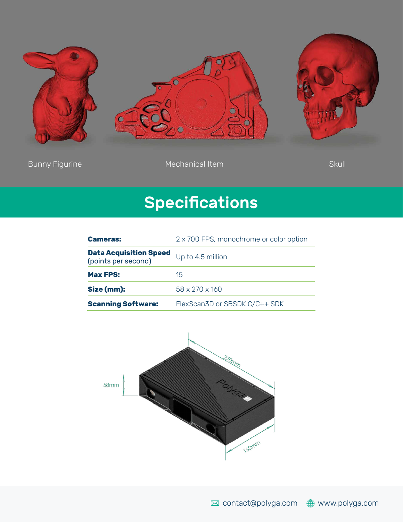

Bunny Figurine Skull Communical Item Skull Communical Item Skull Communical Item Skull Communication of the Skull

## **Specifications**

| <b>Cameras:</b>                                      | 2 x 700 FPS, monochrome or color option |
|------------------------------------------------------|-----------------------------------------|
| <b>Data Acquisition Speed</b><br>(points per second) | Up to 4.5 million                       |
| <b>Max FPS:</b>                                      | 15                                      |
| Size (mm):                                           | $58 \times 270 \times 160$              |
| <b>Scanning Software:</b>                            | FlexScan3D or SBSDK C/C++ SDK           |